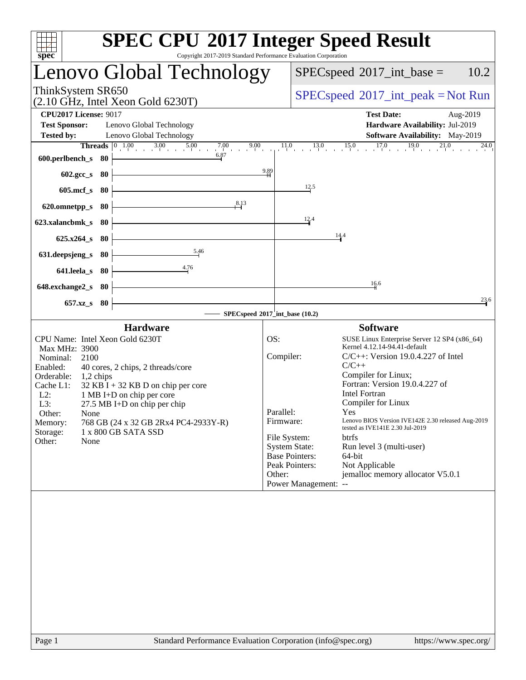| Copyright 2017-2019 Standard Performance Evaluation Corporation<br>spec <sup>®</sup>                                                                                                                                                                                                                                                                                                                                                 | <b>SPEC CPU®2017 Integer Speed Result</b>                                                                                                                                                                                                                                                                                                                                                                                                                                                                                                                                                                                                                           |
|--------------------------------------------------------------------------------------------------------------------------------------------------------------------------------------------------------------------------------------------------------------------------------------------------------------------------------------------------------------------------------------------------------------------------------------|---------------------------------------------------------------------------------------------------------------------------------------------------------------------------------------------------------------------------------------------------------------------------------------------------------------------------------------------------------------------------------------------------------------------------------------------------------------------------------------------------------------------------------------------------------------------------------------------------------------------------------------------------------------------|
| Lenovo Global Technology                                                                                                                                                                                                                                                                                                                                                                                                             | $SPEC speed^{\circ}2017\_int\_base =$<br>10.2                                                                                                                                                                                                                                                                                                                                                                                                                                                                                                                                                                                                                       |
| ThinkSystem SR650<br>$(2.10 \text{ GHz}, \text{Intel Xeon Gold } 6230 \text{T})$                                                                                                                                                                                                                                                                                                                                                     | $SPEC speed^{\circ}2017\_int\_peak = Not Run$                                                                                                                                                                                                                                                                                                                                                                                                                                                                                                                                                                                                                       |
| <b>CPU2017 License: 9017</b><br><b>Test Sponsor:</b><br>Lenovo Global Technology<br><b>Tested by:</b><br>Lenovo Global Technology                                                                                                                                                                                                                                                                                                    | <b>Test Date:</b><br>Aug-2019<br>Hardware Availability: Jul-2019<br>Software Availability: May-2019                                                                                                                                                                                                                                                                                                                                                                                                                                                                                                                                                                 |
| 6.87<br>600.perlbench_s 80                                                                                                                                                                                                                                                                                                                                                                                                           | <b>Threads</b> $\begin{bmatrix} 0 & 1.00 & 3.00 & 5.00 & 7.00 & 9.00 & 11.0 & 13.0 & 15.0 & 17.0 & 19.0 & 21.0 \end{bmatrix}$<br>$^{24.0}$                                                                                                                                                                                                                                                                                                                                                                                                                                                                                                                          |
| 602.gcc_s 80<br>605.mcf_s 80                                                                                                                                                                                                                                                                                                                                                                                                         | 9.89<br>12.5                                                                                                                                                                                                                                                                                                                                                                                                                                                                                                                                                                                                                                                        |
| 8.13<br>620.omnetpp_s 80                                                                                                                                                                                                                                                                                                                                                                                                             | 12.4                                                                                                                                                                                                                                                                                                                                                                                                                                                                                                                                                                                                                                                                |
| 623.xalancbmk s 80<br>$625.x264_s$ 80                                                                                                                                                                                                                                                                                                                                                                                                | 14.4                                                                                                                                                                                                                                                                                                                                                                                                                                                                                                                                                                                                                                                                |
| 5.46<br>631.deepsjeng_s<br>- 80<br>4.76<br>641.leela_s 80                                                                                                                                                                                                                                                                                                                                                                            |                                                                                                                                                                                                                                                                                                                                                                                                                                                                                                                                                                                                                                                                     |
| 648.exchange2_s 80                                                                                                                                                                                                                                                                                                                                                                                                                   | $\frac{16.6}{1}$                                                                                                                                                                                                                                                                                                                                                                                                                                                                                                                                                                                                                                                    |
| 657.xz_s 80                                                                                                                                                                                                                                                                                                                                                                                                                          | 23.6<br>$-$ SPECspeed®2017_int_base (10.2)                                                                                                                                                                                                                                                                                                                                                                                                                                                                                                                                                                                                                          |
| <b>Hardware</b><br>CPU Name: Intel Xeon Gold 6230T<br>Max MHz: 3900<br>Nominal:<br>2100<br>40 cores, 2 chips, 2 threads/core<br>Enabled:<br>Orderable:<br>$1,2$ chips<br>Cache L1:<br>$32$ KB I + 32 KB D on chip per core<br>$L2$ :<br>1 MB I+D on chip per core<br>L3:<br>$27.5$ MB I+D on chip per chip<br>Other:<br>None<br>768 GB (24 x 32 GB 2Rx4 PC4-2933Y-R)<br>Memory:<br>Storage:<br>1 x 800 GB SATA SSD<br>Other:<br>None | <b>Software</b><br>OS:<br>SUSE Linux Enterprise Server 12 SP4 (x86_64)<br>Kernel 4.12.14-94.41-default<br>Compiler:<br>$C/C++$ : Version 19.0.4.227 of Intel<br>$C/C++$<br>Compiler for Linux;<br>Fortran: Version 19.0.4.227 of<br><b>Intel Fortran</b><br>Compiler for Linux<br>Parallel:<br><b>Yes</b> and the <b>Yes</b><br>Lenovo BIOS Version IVE142E 2.30 released Aug-2019<br>Firmware:<br>tested as IVE141E 2.30 Jul-2019<br>File System:<br><b>btrfs</b><br><b>System State:</b><br>Run level 3 (multi-user)<br><b>Base Pointers:</b><br>64-bit<br>Peak Pointers:<br>Not Applicable<br>jemalloc memory allocator V5.0.1<br>Other:<br>Power Management: -- |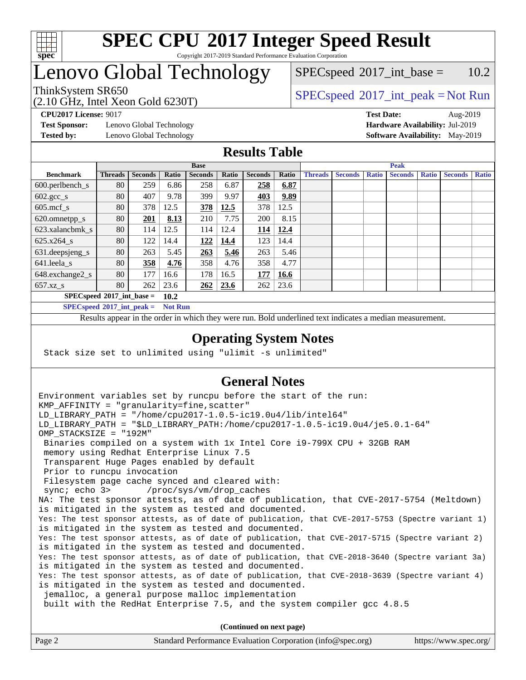

# Lenovo Global Technology

 $SPEC speed^{\circ}2017\_int\_base = 10.2$ 

## ThinkSystem SR650<br>  $SPECspeed^{\circ}2017\_int\_peak = Not Run$  $SPECspeed^{\circ}2017\_int\_peak = Not Run$

**[Test Sponsor:](http://www.spec.org/auto/cpu2017/Docs/result-fields.html#TestSponsor)** Lenovo Global Technology **[Hardware Availability:](http://www.spec.org/auto/cpu2017/Docs/result-fields.html#HardwareAvailability)** Jul-2019

(2.10 GHz, Intel Xeon Gold 6230T)

**[CPU2017 License:](http://www.spec.org/auto/cpu2017/Docs/result-fields.html#CPU2017License)** 9017 **[Test Date:](http://www.spec.org/auto/cpu2017/Docs/result-fields.html#TestDate)** Aug-2019 **[Tested by:](http://www.spec.org/auto/cpu2017/Docs/result-fields.html#Testedby)** Lenovo Global Technology **[Software Availability:](http://www.spec.org/auto/cpu2017/Docs/result-fields.html#SoftwareAvailability)** May-2019

## **[Results Table](http://www.spec.org/auto/cpu2017/Docs/result-fields.html#ResultsTable)**

|                                      | <b>Base</b>    |                |       |                | <b>Peak</b> |                |       |                |                |              |                |              |                |              |
|--------------------------------------|----------------|----------------|-------|----------------|-------------|----------------|-------|----------------|----------------|--------------|----------------|--------------|----------------|--------------|
| <b>Benchmark</b>                     | <b>Threads</b> | <b>Seconds</b> | Ratio | <b>Seconds</b> | Ratio       | <b>Seconds</b> | Ratio | <b>Threads</b> | <b>Seconds</b> | <b>Ratio</b> | <b>Seconds</b> | <b>Ratio</b> | <b>Seconds</b> | <b>Ratio</b> |
| $600.$ perlbench $\mathsf{S}$        | 80             | 259            | 6.86  | 258            | 6.87        | 258            | 6.87  |                |                |              |                |              |                |              |
| $602 \text{.} \text{gcc}\text{_<}$ s | 80             | 407            | 9.78  | 399            | 9.97        | 403            | 9.89  |                |                |              |                |              |                |              |
| $605$ .mcf s                         | 80             | 378            | 12.5  | 378            | 12.5        | 378            | 12.5  |                |                |              |                |              |                |              |
| 620.omnetpp_s                        | 80             | 201            | 8.13  | 210            | 7.75        | 200            | 8.15  |                |                |              |                |              |                |              |
| 623.xalancbmk s                      | 80             | 114            | 12.5  | 114            | 12.4        | 114            | 12.4  |                |                |              |                |              |                |              |
| $625.x264_s$                         | 80             | 122            | 14.4  | 122            | 14.4        | 123            | 14.4  |                |                |              |                |              |                |              |
| 631.deepsjeng_s                      | 80             | 263            | 5.45  | 263            | 5.46        | 263            | 5.46  |                |                |              |                |              |                |              |
| $641$ .leela_s                       | 80             | 358            | 4.76  | 358            | 4.76        | 358            | 4.77  |                |                |              |                |              |                |              |
| 648.exchange2_s                      | 80             | 177            | 16.6  | 178            | 16.5        | 177            | 16.6  |                |                |              |                |              |                |              |
| $657.xz$ <sub>S</sub>                | 80             | 262            | 23.6  | 262            | 23.6        | 262            | 23.6  |                |                |              |                |              |                |              |
| $SPECspeed*2017$ int base =          |                |                | 10.2  |                |             |                |       |                |                |              |                |              |                |              |

**[SPECspeed](http://www.spec.org/auto/cpu2017/Docs/result-fields.html#SPECspeed2017intpeak)[2017\\_int\\_peak =](http://www.spec.org/auto/cpu2017/Docs/result-fields.html#SPECspeed2017intpeak) Not Run**

Results appear in the [order in which they were run.](http://www.spec.org/auto/cpu2017/Docs/result-fields.html#RunOrder) Bold underlined text [indicates a median measurement.](http://www.spec.org/auto/cpu2017/Docs/result-fields.html#Median)

## **[Operating System Notes](http://www.spec.org/auto/cpu2017/Docs/result-fields.html#OperatingSystemNotes)**

Stack size set to unlimited using "ulimit -s unlimited"

## **[General Notes](http://www.spec.org/auto/cpu2017/Docs/result-fields.html#GeneralNotes)**

Environment variables set by runcpu before the start of the run: KMP AFFINITY = "granularity=fine, scatter" LD\_LIBRARY\_PATH = "/home/cpu2017-1.0.5-ic19.0u4/lib/intel64" LD\_LIBRARY\_PATH = "\$LD\_LIBRARY\_PATH:/home/cpu2017-1.0.5-ic19.0u4/je5.0.1-64" OMP\_STACKSIZE = "192M" Binaries compiled on a system with 1x Intel Core i9-799X CPU + 32GB RAM memory using Redhat Enterprise Linux 7.5 Transparent Huge Pages enabled by default Prior to runcpu invocation Filesystem page cache synced and cleared with: sync; echo 3> /proc/sys/vm/drop\_caches NA: The test sponsor attests, as of date of publication, that CVE-2017-5754 (Meltdown) is mitigated in the system as tested and documented. Yes: The test sponsor attests, as of date of publication, that CVE-2017-5753 (Spectre variant 1) is mitigated in the system as tested and documented. Yes: The test sponsor attests, as of date of publication, that CVE-2017-5715 (Spectre variant 2) is mitigated in the system as tested and documented. Yes: The test sponsor attests, as of date of publication, that CVE-2018-3640 (Spectre variant 3a) is mitigated in the system as tested and documented. Yes: The test sponsor attests, as of date of publication, that CVE-2018-3639 (Spectre variant 4) is mitigated in the system as tested and documented. jemalloc, a general purpose malloc implementation built with the RedHat Enterprise 7.5, and the system compiler gcc 4.8.5 **(Continued on next page)**

| Page 2 | Standard Performance Evaluation Corporation (info@spec.org) | https://www.spec.org/ |
|--------|-------------------------------------------------------------|-----------------------|
|        |                                                             |                       |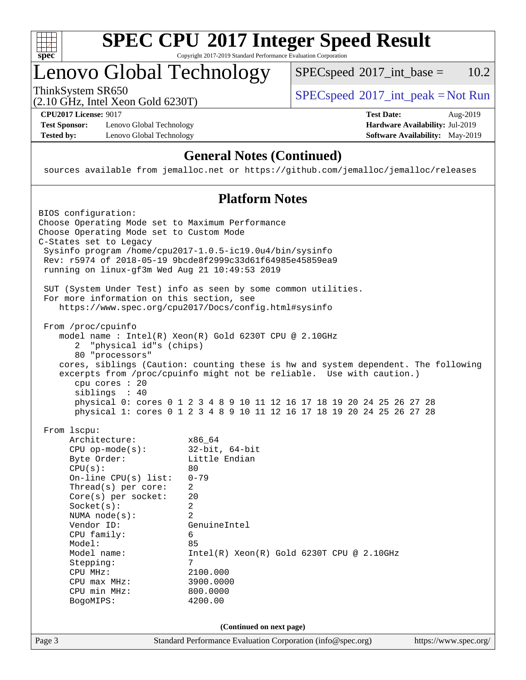

# Lenovo Global Technology

 $SPECspeed^{\circledcirc}2017\_int\_base = 10.2$  $SPECspeed^{\circledcirc}2017\_int\_base = 10.2$ 

(2.10 GHz, Intel Xeon Gold 6230T)

ThinkSystem SR650<br>  $(2.10 \text{ GHz. Intel } X_{\text{QCD}}$  Gold 6230T)

**[Test Sponsor:](http://www.spec.org/auto/cpu2017/Docs/result-fields.html#TestSponsor)** Lenovo Global Technology **[Hardware Availability:](http://www.spec.org/auto/cpu2017/Docs/result-fields.html#HardwareAvailability)** Jul-2019 **[Tested by:](http://www.spec.org/auto/cpu2017/Docs/result-fields.html#Testedby)** Lenovo Global Technology **[Software Availability:](http://www.spec.org/auto/cpu2017/Docs/result-fields.html#SoftwareAvailability)** May-2019

**[CPU2017 License:](http://www.spec.org/auto/cpu2017/Docs/result-fields.html#CPU2017License)** 9017 **[Test Date:](http://www.spec.org/auto/cpu2017/Docs/result-fields.html#TestDate)** Aug-2019

## **[General Notes \(Continued\)](http://www.spec.org/auto/cpu2017/Docs/result-fields.html#GeneralNotes)**

sources available from jemalloc.net or <https://github.com/jemalloc/jemalloc/releases>

## **[Platform Notes](http://www.spec.org/auto/cpu2017/Docs/result-fields.html#PlatformNotes)**

| BIOS configuration:<br>Choose Operating Mode set to Maximum Performance<br>Choose Operating Mode set to Custom Mode<br>C-States set to Legacy                                                                                                                                                                                 |                                                                                                                                                                                                                                                                  |                       |  |  |  |
|-------------------------------------------------------------------------------------------------------------------------------------------------------------------------------------------------------------------------------------------------------------------------------------------------------------------------------|------------------------------------------------------------------------------------------------------------------------------------------------------------------------------------------------------------------------------------------------------------------|-----------------------|--|--|--|
|                                                                                                                                                                                                                                                                                                                               | Sysinfo program /home/cpu2017-1.0.5-ic19.0u4/bin/sysinfo<br>Rev: r5974 of 2018-05-19 9bcde8f2999c33d61f64985e45859ea9<br>running on linux-gf3m Wed Aug 21 10:49:53 2019                                                                                          |                       |  |  |  |
| For more information on this section, see                                                                                                                                                                                                                                                                                     | SUT (System Under Test) info as seen by some common utilities.<br>https://www.spec.org/cpu2017/Docs/config.html#sysinfo                                                                                                                                          |                       |  |  |  |
| From /proc/cpuinfo<br>"physical id"s (chips)<br>$\overline{a}$<br>80 "processors"                                                                                                                                                                                                                                             | model name : Intel(R) Xeon(R) Gold 6230T CPU @ 2.10GHz                                                                                                                                                                                                           |                       |  |  |  |
| cpu cores : 20<br>siblings : 40                                                                                                                                                                                                                                                                                               | cores, siblings (Caution: counting these is hw and system dependent. The following<br>excerpts from /proc/cpuinfo might not be reliable. Use with caution.)                                                                                                      |                       |  |  |  |
|                                                                                                                                                                                                                                                                                                                               | physical 0: cores 0 1 2 3 4 8 9 10 11 12 16 17 18 19 20 24 25 26 27 28<br>physical 1: cores 0 1 2 3 4 8 9 10 11 12 16 17 18 19 20 24 25 26 27 28                                                                                                                 |                       |  |  |  |
| From 1scpu:<br>Architecture:<br>$CPU$ op-mode( $s$ ):<br>Byte Order:<br>CPU(s):<br>On-line $CPU(s)$ list:<br>$Thread(s)$ per core:<br>$Core(s)$ per socket:<br>Socket(s):<br>NUMA $node(s):$<br>Vendor ID:<br>CPU family:<br>Model:<br>Model name:<br>Stepping:<br>CPU MHz:<br>$CPU$ max $MHz$ :<br>CPU min MHz:<br>BogoMIPS: | x86_64<br>$32$ -bit, $64$ -bit<br>Little Endian<br>80<br>$0 - 79$<br>2<br>20<br>$\overline{a}$<br>$\overline{a}$<br>GenuineIntel<br>6<br>85<br>$Intel(R)$ Xeon $(R)$ Gold 6230T CPU @ 2.10GHz<br>$7\overline{ }$<br>2100.000<br>3900.0000<br>800.0000<br>4200.00 |                       |  |  |  |
|                                                                                                                                                                                                                                                                                                                               | (Continued on next page)                                                                                                                                                                                                                                         |                       |  |  |  |
| Page 3                                                                                                                                                                                                                                                                                                                        | Standard Performance Evaluation Corporation (info@spec.org)                                                                                                                                                                                                      | https://www.spec.org/ |  |  |  |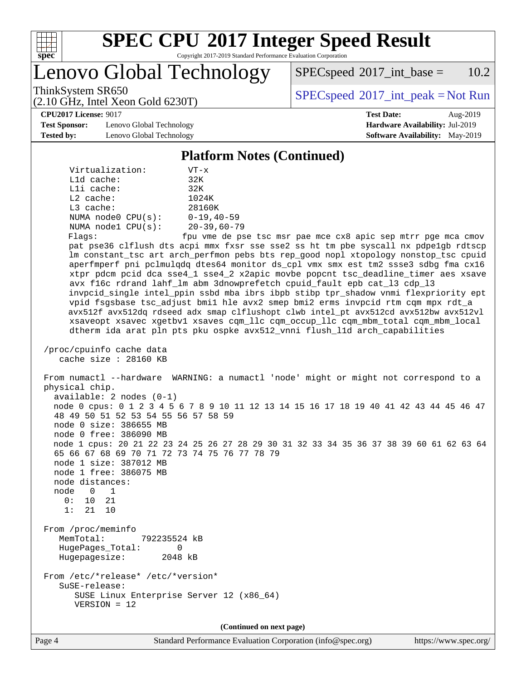

Lenovo Global Technology

 $SPEC speed^{\circ}2017\_int\_base = 10.2$ 

(2.10 GHz, Intel Xeon Gold 6230T)

ThinkSystem SR650<br>  $SPEC speed^{\circ}2017\_int\_peak = Not Run$ 

**[Test Sponsor:](http://www.spec.org/auto/cpu2017/Docs/result-fields.html#TestSponsor)** Lenovo Global Technology **[Hardware Availability:](http://www.spec.org/auto/cpu2017/Docs/result-fields.html#HardwareAvailability)** Jul-2019 **[Tested by:](http://www.spec.org/auto/cpu2017/Docs/result-fields.html#Testedby)** Lenovo Global Technology **[Software Availability:](http://www.spec.org/auto/cpu2017/Docs/result-fields.html#SoftwareAvailability)** May-2019

**[CPU2017 License:](http://www.spec.org/auto/cpu2017/Docs/result-fields.html#CPU2017License)** 9017 **[Test Date:](http://www.spec.org/auto/cpu2017/Docs/result-fields.html#TestDate)** Aug-2019

## **[Platform Notes \(Continued\)](http://www.spec.org/auto/cpu2017/Docs/result-fields.html#PlatformNotes)**

| Virtualization:         | $VT - x$          |
|-------------------------|-------------------|
| $L1d$ cache:            | 32K               |
| Lli cache:              | 32K               |
| $L2$ cache:             | 1024K             |
| $L3$ cache:             | 28160K            |
| NUMA $node0$ $CPU(s)$ : | $0 - 19, 40 - 59$ |
| NUMA nodel CPU(s):      | $20 - 39,60 - 79$ |
| Flags:                  | fpu yme de pse    |

fpu vme de pse tsc msr pae mce cx8 apic sep mtrr pge mca cmov pat pse36 clflush dts acpi mmx fxsr sse sse2 ss ht tm pbe syscall nx pdpe1gb rdtscp lm constant\_tsc art arch\_perfmon pebs bts rep\_good nopl xtopology nonstop\_tsc cpuid aperfmperf pni pclmulqdq dtes64 monitor ds\_cpl vmx smx est tm2 ssse3 sdbg fma cx16 xtpr pdcm pcid dca sse4\_1 sse4\_2 x2apic movbe popcnt tsc\_deadline\_timer aes xsave avx f16c rdrand lahf\_lm abm 3dnowprefetch cpuid\_fault epb cat\_l3 cdp\_l3 invpcid\_single intel\_ppin ssbd mba ibrs ibpb stibp tpr\_shadow vnmi flexpriority ept vpid fsgsbase tsc\_adjust bmi1 hle avx2 smep bmi2 erms invpcid rtm cqm mpx rdt\_a avx512f avx512dq rdseed adx smap clflushopt clwb intel\_pt avx512cd avx512bw avx512vl xsaveopt xsavec xgetbv1 xsaves cqm\_llc cqm\_occup\_llc cqm\_mbm\_total cqm\_mbm\_local dtherm ida arat pln pts pku ospke avx512\_vnni flush\_l1d arch\_capabilities

 /proc/cpuinfo cache data cache size : 28160 KB

 From numactl --hardware WARNING: a numactl 'node' might or might not correspond to a physical chip. available: 2 nodes (0-1) node 0 cpus: 0 1 2 3 4 5 6 7 8 9 10 11 12 13 14 15 16 17 18 19 40 41 42 43 44 45 46 47 48 49 50 51 52 53 54 55 56 57 58 59 node 0 size: 386655 MB node 0 free: 386090 MB node 1 cpus: 20 21 22 23 24 25 26 27 28 29 30 31 32 33 34 35 36 37 38 39 60 61 62 63 64 65 66 67 68 69 70 71 72 73 74 75 76 77 78 79 node 1 size: 387012 MB node 1 free: 386075 MB node distances: node 0 1 0: 10 21 1: 21 10 From /proc/meminfo MemTotal: 792235524 kB HugePages\_Total: 0 Hugepagesize: 2048 kB From /etc/\*release\* /etc/\*version\*

 SuSE-release: SUSE Linux Enterprise Server 12 (x86\_64) VERSION = 12

**(Continued on next page)**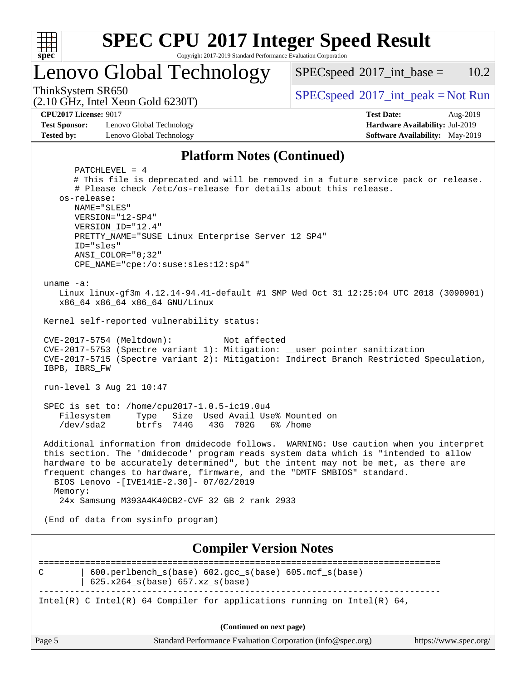

# **[SPEC CPU](http://www.spec.org/auto/cpu2017/Docs/result-fields.html#SPECCPU2017IntegerSpeedResult)[2017 Integer Speed Result](http://www.spec.org/auto/cpu2017/Docs/result-fields.html#SPECCPU2017IntegerSpeedResult)**

Copyright 2017-2019 Standard Performance Evaluation Corporation

Lenovo Global Technology

 $SPECspeed^{\circledcirc}2017\_int\_base = 10.2$  $SPECspeed^{\circledcirc}2017\_int\_base = 10.2$ 

(2.10 GHz, Intel Xeon Gold 6230T)

ThinkSystem SR650<br>  $(2.10 \text{ GHz. Intel } X_{\text{QCD}}$  Gold 6230T)

**[Test Sponsor:](http://www.spec.org/auto/cpu2017/Docs/result-fields.html#TestSponsor)** Lenovo Global Technology **[Hardware Availability:](http://www.spec.org/auto/cpu2017/Docs/result-fields.html#HardwareAvailability)** Jul-2019 **[Tested by:](http://www.spec.org/auto/cpu2017/Docs/result-fields.html#Testedby)** Lenovo Global Technology **[Software Availability:](http://www.spec.org/auto/cpu2017/Docs/result-fields.html#SoftwareAvailability)** May-2019

**[CPU2017 License:](http://www.spec.org/auto/cpu2017/Docs/result-fields.html#CPU2017License)** 9017 **[Test Date:](http://www.spec.org/auto/cpu2017/Docs/result-fields.html#TestDate)** Aug-2019

## **[Platform Notes \(Continued\)](http://www.spec.org/auto/cpu2017/Docs/result-fields.html#PlatformNotes)**

| Page 5                                     | Standard Performance Evaluation Corporation (info@spec.org)<br>https://www.spec.org/                                                                                                                                                                                                            |
|--------------------------------------------|-------------------------------------------------------------------------------------------------------------------------------------------------------------------------------------------------------------------------------------------------------------------------------------------------|
|                                            | (Continued on next page)                                                                                                                                                                                                                                                                        |
|                                            | Intel(R) C Intel(R) 64 Compiler for applications running on Intel(R) 64,                                                                                                                                                                                                                        |
| С                                          | 600.perlbench_s(base) 602.gcc_s(base) 605.mcf_s(base)<br>625.x264_s(base) 657.xz_s(base)                                                                                                                                                                                                        |
|                                            | <b>Compiler Version Notes</b>                                                                                                                                                                                                                                                                   |
|                                            | (End of data from sysinfo program)                                                                                                                                                                                                                                                              |
| Memory:                                    | 24x Samsung M393A4K40CB2-CVF 32 GB 2 rank 2933                                                                                                                                                                                                                                                  |
|                                            | this section. The 'dmidecode' program reads system data which is "intended to allow<br>hardware to be accurately determined", but the intent may not be met, as there are<br>frequent changes to hardware, firmware, and the "DMTF SMBIOS" standard.<br>BIOS Lenovo -[IVE141E-2.30]- 07/02/2019 |
|                                            | Additional information from dmidecode follows. WARNING: Use caution when you interpret                                                                                                                                                                                                          |
| Filesystem<br>/dev/sda2                    | SPEC is set to: /home/cpu2017-1.0.5-ic19.0u4<br>Type Size Used Avail Use% Mounted on<br>btrfs 744G 43G 702G<br>6% /home                                                                                                                                                                         |
| run-level 3 Aug 21 10:47                   |                                                                                                                                                                                                                                                                                                 |
| CVE-2017-5754 (Meltdown):<br>IBPB, IBRS FW | Not affected<br>CVE-2017-5753 (Spectre variant 1): Mitigation: __user pointer sanitization<br>CVE-2017-5715 (Spectre variant 2): Mitigation: Indirect Branch Restricted Speculation,                                                                                                            |
|                                            | Kernel self-reported vulnerability status:                                                                                                                                                                                                                                                      |
| uname $-a$ :                               | Linux linux-gf3m 4.12.14-94.41-default #1 SMP Wed Oct 31 12:25:04 UTC 2018 (3090901)<br>x86_64 x86_64 x86_64 GNU/Linux                                                                                                                                                                          |
| ID="sles"<br>$ANSI\_COLOR = "0;32"$        | CPE_NAME="cpe:/o:suse:sles:12:sp4"                                                                                                                                                                                                                                                              |
| VERSION="12-SP4"<br>VERSION_ID="12.4"      | PRETTY_NAME="SUSE Linux Enterprise Server 12 SP4"                                                                                                                                                                                                                                               |
| os-release:<br>NAME="SLES"                 |                                                                                                                                                                                                                                                                                                 |
| PATCHLEVEL = 4                             | # This file is deprecated and will be removed in a future service pack or release.<br># Please check /etc/os-release for details about this release.                                                                                                                                            |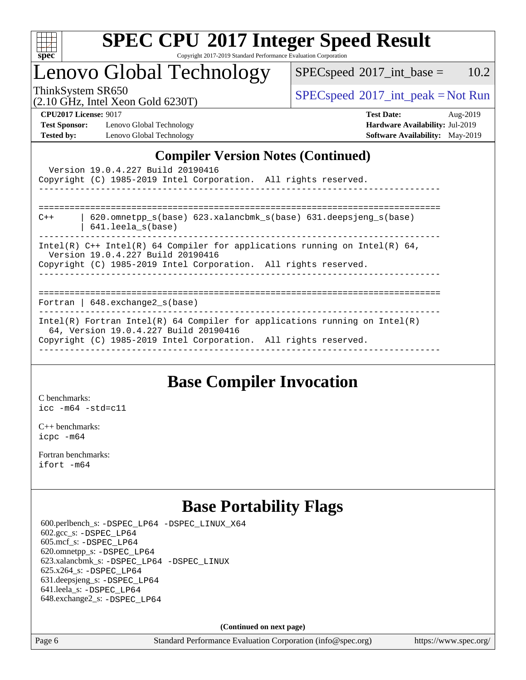

# **[SPEC CPU](http://www.spec.org/auto/cpu2017/Docs/result-fields.html#SPECCPU2017IntegerSpeedResult)[2017 Integer Speed Result](http://www.spec.org/auto/cpu2017/Docs/result-fields.html#SPECCPU2017IntegerSpeedResult)**

Copyright 2017-2019 Standard Performance Evaluation Corporation

# Lenovo Global Technology

 $SPECspeed^{\circ}2017\_int\_base = 10.2$  $SPECspeed^{\circ}2017\_int\_base = 10.2$ 

(2.10 GHz, Intel Xeon Gold 6230T)

ThinkSystem SR650<br>  $(2.10 \text{ GHz}_{\text{total}} \text{ York})$  [SPECspeed](http://www.spec.org/auto/cpu2017/Docs/result-fields.html#SPECspeed2017intpeak)<sup>®</sup>[2017\\_int\\_peak = N](http://www.spec.org/auto/cpu2017/Docs/result-fields.html#SPECspeed2017intpeak)ot Run

**[Test Sponsor:](http://www.spec.org/auto/cpu2017/Docs/result-fields.html#TestSponsor)** Lenovo Global Technology **[Hardware Availability:](http://www.spec.org/auto/cpu2017/Docs/result-fields.html#HardwareAvailability)** Jul-2019 **[Tested by:](http://www.spec.org/auto/cpu2017/Docs/result-fields.html#Testedby)** Lenovo Global Technology **[Software Availability:](http://www.spec.org/auto/cpu2017/Docs/result-fields.html#SoftwareAvailability)** May-2019

**[CPU2017 License:](http://www.spec.org/auto/cpu2017/Docs/result-fields.html#CPU2017License)** 9017 **[Test Date:](http://www.spec.org/auto/cpu2017/Docs/result-fields.html#TestDate)** Aug-2019

## **[Compiler Version Notes \(Continued\)](http://www.spec.org/auto/cpu2017/Docs/result-fields.html#CompilerVersionNotes)**

| Version 19.0.4.227 Build 20190416<br>Copyright (C) 1985-2019 Intel Corporation. All rights reserved.                                                                                   |
|----------------------------------------------------------------------------------------------------------------------------------------------------------------------------------------|
| 620.omnetpp $s(base)$ 623.xalancbmk $s(base)$ 631.deepsjeng $s(base)$<br>$C++$<br>$641.$ leela $s(base)$                                                                               |
| Intel(R) C++ Intel(R) 64 Compiler for applications running on Intel(R) 64,<br>Version 19.0.4.227 Build 20190416<br>Copyright (C) 1985-2019 Intel Corporation. All rights reserved.     |
| Fortran   $648$ . exchange2 $s$ (base)                                                                                                                                                 |
| Intel(R) Fortran Intel(R) 64 Compiler for applications running on Intel(R)<br>64, Version 19.0.4.227 Build 20190416<br>Copyright (C) 1985-2019 Intel Corporation. All rights reserved. |

## **[Base Compiler Invocation](http://www.spec.org/auto/cpu2017/Docs/result-fields.html#BaseCompilerInvocation)**

[C benchmarks](http://www.spec.org/auto/cpu2017/Docs/result-fields.html#Cbenchmarks): [icc -m64 -std=c11](http://www.spec.org/cpu2017/results/res2019q3/cpu2017-20190902-17407.flags.html#user_CCbase_intel_icc_64bit_c11_33ee0cdaae7deeeab2a9725423ba97205ce30f63b9926c2519791662299b76a0318f32ddfffdc46587804de3178b4f9328c46fa7c2b0cd779d7a61945c91cd35)

[C++ benchmarks:](http://www.spec.org/auto/cpu2017/Docs/result-fields.html#CXXbenchmarks) [icpc -m64](http://www.spec.org/cpu2017/results/res2019q3/cpu2017-20190902-17407.flags.html#user_CXXbase_intel_icpc_64bit_4ecb2543ae3f1412ef961e0650ca070fec7b7afdcd6ed48761b84423119d1bf6bdf5cad15b44d48e7256388bc77273b966e5eb805aefd121eb22e9299b2ec9d9)

[Fortran benchmarks](http://www.spec.org/auto/cpu2017/Docs/result-fields.html#Fortranbenchmarks): [ifort -m64](http://www.spec.org/cpu2017/results/res2019q3/cpu2017-20190902-17407.flags.html#user_FCbase_intel_ifort_64bit_24f2bb282fbaeffd6157abe4f878425411749daecae9a33200eee2bee2fe76f3b89351d69a8130dd5949958ce389cf37ff59a95e7a40d588e8d3a57e0c3fd751)

# **[Base Portability Flags](http://www.spec.org/auto/cpu2017/Docs/result-fields.html#BasePortabilityFlags)**

 600.perlbench\_s: [-DSPEC\\_LP64](http://www.spec.org/cpu2017/results/res2019q3/cpu2017-20190902-17407.flags.html#b600.perlbench_s_basePORTABILITY_DSPEC_LP64) [-DSPEC\\_LINUX\\_X64](http://www.spec.org/cpu2017/results/res2019q3/cpu2017-20190902-17407.flags.html#b600.perlbench_s_baseCPORTABILITY_DSPEC_LINUX_X64) 602.gcc\_s: [-DSPEC\\_LP64](http://www.spec.org/cpu2017/results/res2019q3/cpu2017-20190902-17407.flags.html#suite_basePORTABILITY602_gcc_s_DSPEC_LP64) 605.mcf\_s: [-DSPEC\\_LP64](http://www.spec.org/cpu2017/results/res2019q3/cpu2017-20190902-17407.flags.html#suite_basePORTABILITY605_mcf_s_DSPEC_LP64) 620.omnetpp\_s: [-DSPEC\\_LP64](http://www.spec.org/cpu2017/results/res2019q3/cpu2017-20190902-17407.flags.html#suite_basePORTABILITY620_omnetpp_s_DSPEC_LP64) 623.xalancbmk\_s: [-DSPEC\\_LP64](http://www.spec.org/cpu2017/results/res2019q3/cpu2017-20190902-17407.flags.html#suite_basePORTABILITY623_xalancbmk_s_DSPEC_LP64) [-DSPEC\\_LINUX](http://www.spec.org/cpu2017/results/res2019q3/cpu2017-20190902-17407.flags.html#b623.xalancbmk_s_baseCXXPORTABILITY_DSPEC_LINUX) 625.x264\_s: [-DSPEC\\_LP64](http://www.spec.org/cpu2017/results/res2019q3/cpu2017-20190902-17407.flags.html#suite_basePORTABILITY625_x264_s_DSPEC_LP64) 631.deepsjeng\_s: [-DSPEC\\_LP64](http://www.spec.org/cpu2017/results/res2019q3/cpu2017-20190902-17407.flags.html#suite_basePORTABILITY631_deepsjeng_s_DSPEC_LP64) 641.leela\_s: [-DSPEC\\_LP64](http://www.spec.org/cpu2017/results/res2019q3/cpu2017-20190902-17407.flags.html#suite_basePORTABILITY641_leela_s_DSPEC_LP64) 648.exchange2\_s: [-DSPEC\\_LP64](http://www.spec.org/cpu2017/results/res2019q3/cpu2017-20190902-17407.flags.html#suite_basePORTABILITY648_exchange2_s_DSPEC_LP64)

**(Continued on next page)**

Page 6 Standard Performance Evaluation Corporation [\(info@spec.org\)](mailto:info@spec.org) <https://www.spec.org/>